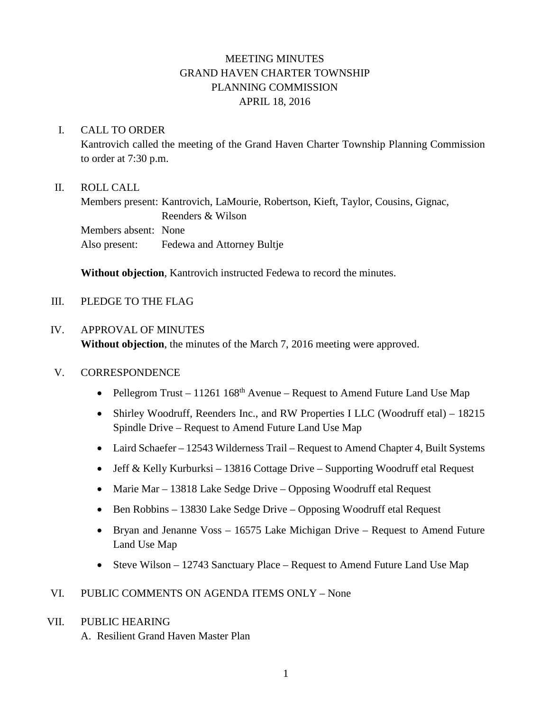# MEETING MINUTES GRAND HAVEN CHARTER TOWNSHIP PLANNING COMMISSION APRIL 18, 2016

### I. CALL TO ORDER

Kantrovich called the meeting of the Grand Haven Charter Township Planning Commission to order at 7:30 p.m.

# II. ROLL CALL

Members present: Kantrovich, LaMourie, Robertson, Kieft, Taylor, Cousins, Gignac, Reenders & Wilson Members absent: None Also present: Fedewa and Attorney Bultje

**Without objection**, Kantrovich instructed Fedewa to record the minutes.

# III. PLEDGE TO THE FLAG

#### IV. APPROVAL OF MINUTES

**Without objection**, the minutes of the March 7, 2016 meeting were approved.

#### V. CORRESPONDENCE

- Pellegrom Trust 11261 168<sup>th</sup> Avenue Request to Amend Future Land Use Map
- Shirley Woodruff, Reenders Inc., and RW Properties I LLC (Woodruff etal) 18215 Spindle Drive – Request to Amend Future Land Use Map
- Laird Schaefer 12543 Wilderness Trail Request to Amend Chapter 4, Built Systems
- Jeff & Kelly Kurburksi 13816 Cottage Drive Supporting Woodruff etal Request
- Marie Mar 13818 Lake Sedge Drive Opposing Woodruff etal Request
- Ben Robbins 13830 Lake Sedge Drive Opposing Woodruff etal Request
- Bryan and Jenanne Voss 16575 Lake Michigan Drive Request to Amend Future Land Use Map
- Steve Wilson 12743 Sanctuary Place Request to Amend Future Land Use Map

# VI. PUBLIC COMMENTS ON AGENDA ITEMS ONLY – None

#### VII. PUBLIC HEARING

A. Resilient Grand Haven Master Plan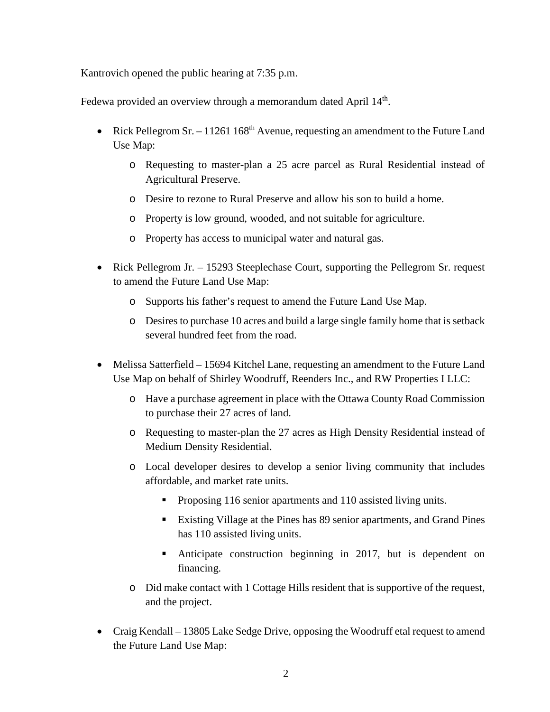Kantrovich opened the public hearing at 7:35 p.m.

Fedewa provided an overview through a memorandum dated April 14<sup>th</sup>.

- Rick Pellegrom Sr. 11261 168<sup>th</sup> Avenue, requesting an amendment to the Future Land Use Map:
	- o Requesting to master-plan a 25 acre parcel as Rural Residential instead of Agricultural Preserve.
	- o Desire to rezone to Rural Preserve and allow his son to build a home.
	- o Property is low ground, wooded, and not suitable for agriculture.
	- o Property has access to municipal water and natural gas.
- Rick Pellegrom Jr. 15293 Steeplechase Court, supporting the Pellegrom Sr. request to amend the Future Land Use Map:
	- o Supports his father's request to amend the Future Land Use Map.
	- o Desires to purchase 10 acres and build a large single family home that is setback several hundred feet from the road.
- Melissa Satterfield 15694 Kitchel Lane, requesting an amendment to the Future Land Use Map on behalf of Shirley Woodruff, Reenders Inc., and RW Properties I LLC:
	- o Have a purchase agreement in place with the Ottawa County Road Commission to purchase their 27 acres of land.
	- o Requesting to master-plan the 27 acres as High Density Residential instead of Medium Density Residential.
	- o Local developer desires to develop a senior living community that includes affordable, and market rate units.
		- **Proposing 116 senior apartments and 110 assisted living units.**
		- Existing Village at the Pines has 89 senior apartments, and Grand Pines has 110 assisted living units.
		- Anticipate construction beginning in 2017, but is dependent on financing.
	- o Did make contact with 1 Cottage Hills resident that is supportive of the request, and the project.
- Craig Kendall 13805 Lake Sedge Drive, opposing the Woodruff etal request to amend the Future Land Use Map: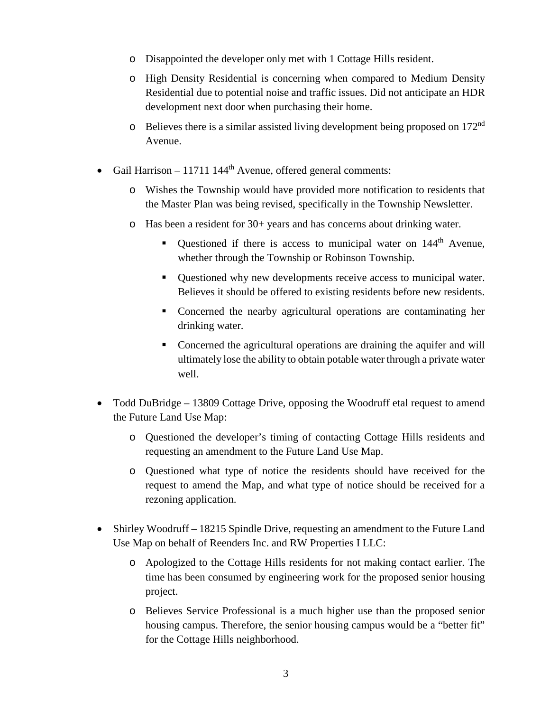- o Disappointed the developer only met with 1 Cottage Hills resident.
- o High Density Residential is concerning when compared to Medium Density Residential due to potential noise and traffic issues. Did not anticipate an HDR development next door when purchasing their home.
- $\circ$  Believes there is a similar assisted living development being proposed on 172<sup>nd</sup> Avenue.
- Gail Harrison 11711 144<sup>th</sup> Avenue, offered general comments:
	- o Wishes the Township would have provided more notification to residents that the Master Plan was being revised, specifically in the Township Newsletter.
	- o Has been a resident for 30+ years and has concerns about drinking water.
		- Ouestioned if there is access to municipal water on  $144<sup>th</sup>$  Avenue, whether through the Township or Robinson Township.
		- Questioned why new developments receive access to municipal water. Believes it should be offered to existing residents before new residents.
		- Concerned the nearby agricultural operations are contaminating her drinking water.
		- Concerned the agricultural operations are draining the aquifer and will ultimately lose the ability to obtain potable water through a private water well.
- Todd DuBridge 13809 Cottage Drive, opposing the Woodruff etal request to amend the Future Land Use Map:
	- o Questioned the developer's timing of contacting Cottage Hills residents and requesting an amendment to the Future Land Use Map.
	- o Questioned what type of notice the residents should have received for the request to amend the Map, and what type of notice should be received for a rezoning application.
- Shirley Woodruff 18215 Spindle Drive, requesting an amendment to the Future Land Use Map on behalf of Reenders Inc. and RW Properties I LLC:
	- o Apologized to the Cottage Hills residents for not making contact earlier. The time has been consumed by engineering work for the proposed senior housing project.
	- o Believes Service Professional is a much higher use than the proposed senior housing campus. Therefore, the senior housing campus would be a "better fit" for the Cottage Hills neighborhood.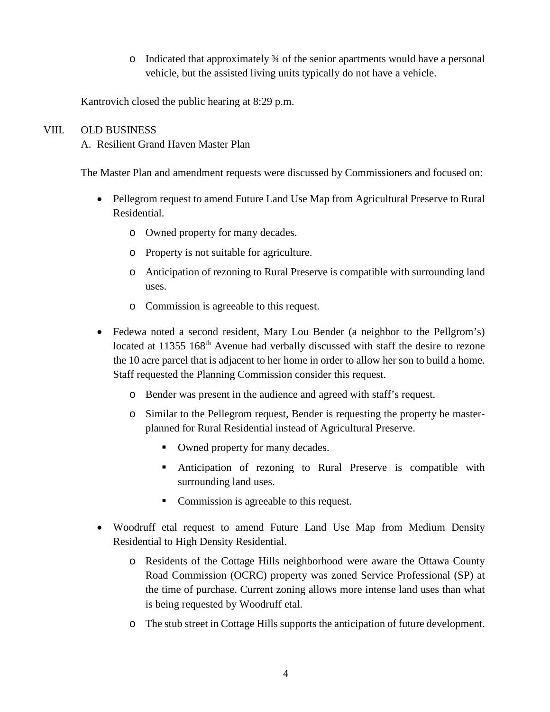o Indicated that approximately ¾ of the senior apartments would have a personal vehicle, but the assisted living units typically do not have a vehicle.

Kantrovich closed the public hearing at 8:29 p.m.

# VIII. OLD BUSINESS

A. Resilient Grand Haven Master Plan

The Master Plan and amendment requests were discussed by Commissioners and focused on:

- Pellegrom request to amend Future Land Use Map from Agricultural Preserve to Rural Residential.
	- o Owned property for many decades.
	- o Property is not suitable for agriculture.
	- o Anticipation of rezoning to Rural Preserve is compatible with surrounding land uses.
	- o Commission is agreeable to this request.
- Fedewa noted a second resident, Mary Lou Bender (a neighbor to the Pellgrom's) located at 11355 168<sup>th</sup> Avenue had verbally discussed with staff the desire to rezone the 10 acre parcel that is adjacent to her home in order to allow her son to build a home. Staff requested the Planning Commission consider this request.
	- o Bender was present in the audience and agreed with staff's request.
	- o Similar to the Pellegrom request, Bender is requesting the property be masterplanned for Rural Residential instead of Agricultural Preserve.
		- Owned property for many decades.
		- Anticipation of rezoning to Rural Preserve is compatible with surrounding land uses.
		- Commission is agreeable to this request.
- Woodruff etal request to amend Future Land Use Map from Medium Density Residential to High Density Residential.
	- o Residents of the Cottage Hills neighborhood were aware the Ottawa County Road Commission (OCRC) property was zoned Service Professional (SP) at the time of purchase. Current zoning allows more intense land uses than what is being requested by Woodruff etal.
	- o The stub street in Cottage Hills supports the anticipation of future development.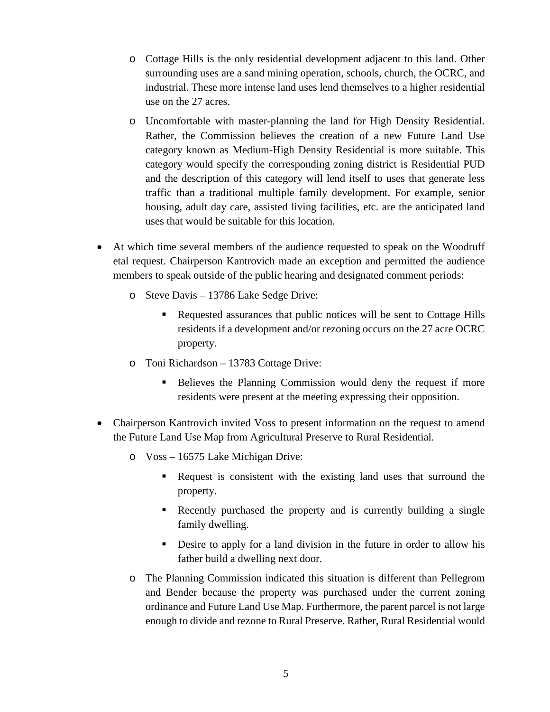- o Cottage Hills is the only residential development adjacent to this land. Other surrounding uses are a sand mining operation, schools, church, the OCRC, and industrial. These more intense land uses lend themselves to a higher residential use on the 27 acres.
- o Uncomfortable with master-planning the land for High Density Residential. Rather, the Commission believes the creation of a new Future Land Use category known as Medium-High Density Residential is more suitable. This category would specify the corresponding zoning district is Residential PUD and the description of this category will lend itself to uses that generate less traffic than a traditional multiple family development. For example, senior housing, adult day care, assisted living facilities, etc. are the anticipated land uses that would be suitable for this location.
- At which time several members of the audience requested to speak on the Woodruff etal request. Chairperson Kantrovich made an exception and permitted the audience members to speak outside of the public hearing and designated comment periods:
	- o Steve Davis 13786 Lake Sedge Drive:
		- Requested assurances that public notices will be sent to Cottage Hills residents if a development and/or rezoning occurs on the 27 acre OCRC property.
	- o Toni Richardson 13783 Cottage Drive:
		- Believes the Planning Commission would deny the request if more residents were present at the meeting expressing their opposition.
- Chairperson Kantrovich invited Voss to present information on the request to amend the Future Land Use Map from Agricultural Preserve to Rural Residential.
	- o Voss 16575 Lake Michigan Drive:
		- Request is consistent with the existing land uses that surround the property.
		- Recently purchased the property and is currently building a single family dwelling.
		- Desire to apply for a land division in the future in order to allow his father build a dwelling next door.
	- o The Planning Commission indicated this situation is different than Pellegrom and Bender because the property was purchased under the current zoning ordinance and Future Land Use Map. Furthermore, the parent parcel is not large enough to divide and rezone to Rural Preserve. Rather, Rural Residential would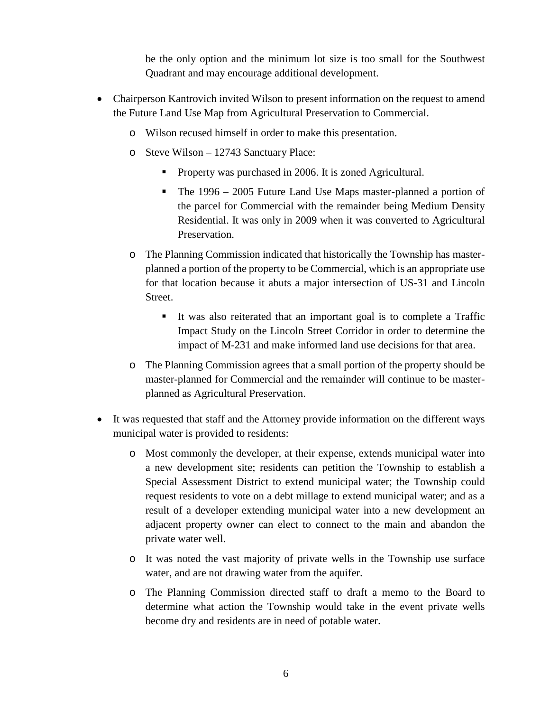be the only option and the minimum lot size is too small for the Southwest Quadrant and may encourage additional development.

- Chairperson Kantrovich invited Wilson to present information on the request to amend the Future Land Use Map from Agricultural Preservation to Commercial.
	- o Wilson recused himself in order to make this presentation.
	- o Steve Wilson 12743 Sanctuary Place:
		- **•** Property was purchased in 2006. It is zoned Agricultural.
		- The 1996 2005 Future Land Use Maps master-planned a portion of the parcel for Commercial with the remainder being Medium Density Residential. It was only in 2009 when it was converted to Agricultural Preservation.
	- o The Planning Commission indicated that historically the Township has masterplanned a portion of the property to be Commercial, which is an appropriate use for that location because it abuts a major intersection of US-31 and Lincoln Street.
		- It was also reiterated that an important goal is to complete a Traffic Impact Study on the Lincoln Street Corridor in order to determine the impact of M-231 and make informed land use decisions for that area.
	- o The Planning Commission agrees that a small portion of the property should be master-planned for Commercial and the remainder will continue to be masterplanned as Agricultural Preservation.
- It was requested that staff and the Attorney provide information on the different ways municipal water is provided to residents:
	- o Most commonly the developer, at their expense, extends municipal water into a new development site; residents can petition the Township to establish a Special Assessment District to extend municipal water; the Township could request residents to vote on a debt millage to extend municipal water; and as a result of a developer extending municipal water into a new development an adjacent property owner can elect to connect to the main and abandon the private water well.
	- o It was noted the vast majority of private wells in the Township use surface water, and are not drawing water from the aquifer.
	- o The Planning Commission directed staff to draft a memo to the Board to determine what action the Township would take in the event private wells become dry and residents are in need of potable water.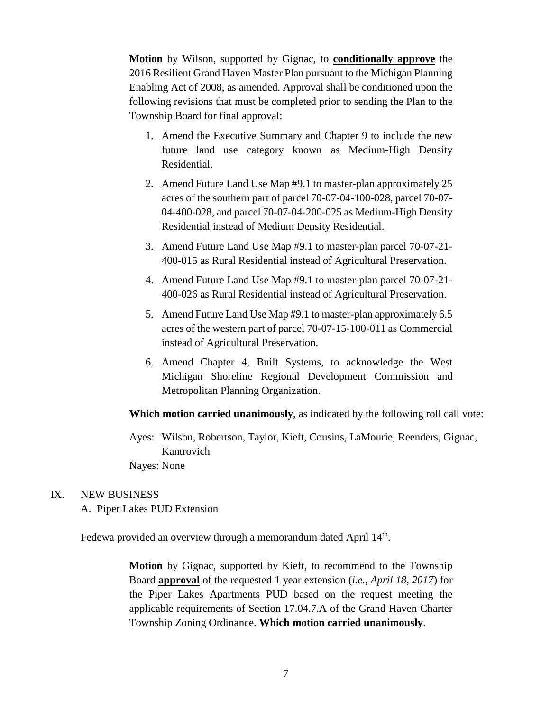**Motion** by Wilson, supported by Gignac, to **conditionally approve** the 2016 Resilient Grand Haven Master Plan pursuant to the Michigan Planning Enabling Act of 2008, as amended. Approval shall be conditioned upon the following revisions that must be completed prior to sending the Plan to the Township Board for final approval:

- 1. Amend the Executive Summary and Chapter 9 to include the new future land use category known as Medium-High Density Residential.
- 2. Amend Future Land Use Map #9.1 to master-plan approximately 25 acres of the southern part of parcel 70-07-04-100-028, parcel 70-07- 04-400-028, and parcel 70-07-04-200-025 as Medium-High Density Residential instead of Medium Density Residential.
- 3. Amend Future Land Use Map #9.1 to master-plan parcel 70-07-21- 400-015 as Rural Residential instead of Agricultural Preservation.
- 4. Amend Future Land Use Map #9.1 to master-plan parcel 70-07-21- 400-026 as Rural Residential instead of Agricultural Preservation.
- 5. Amend Future Land Use Map #9.1 to master-plan approximately 6.5 acres of the western part of parcel 70-07-15-100-011 as Commercial instead of Agricultural Preservation.
- 6. Amend Chapter 4, Built Systems, to acknowledge the West Michigan Shoreline Regional Development Commission and Metropolitan Planning Organization.

#### **Which motion carried unanimously**, as indicated by the following roll call vote:

Ayes: Wilson, Robertson, Taylor, Kieft, Cousins, LaMourie, Reenders, Gignac, Kantrovich Nayes: None

#### IX. NEW BUSINESS

A. Piper Lakes PUD Extension

Fedewa provided an overview through a memorandum dated April 14<sup>th</sup>.

**Motion** by Gignac, supported by Kieft, to recommend to the Township Board **approval** of the requested 1 year extension (*i.e., April 18, 2017*) for the Piper Lakes Apartments PUD based on the request meeting the applicable requirements of Section 17.04.7.A of the Grand Haven Charter Township Zoning Ordinance. **Which motion carried unanimously**.